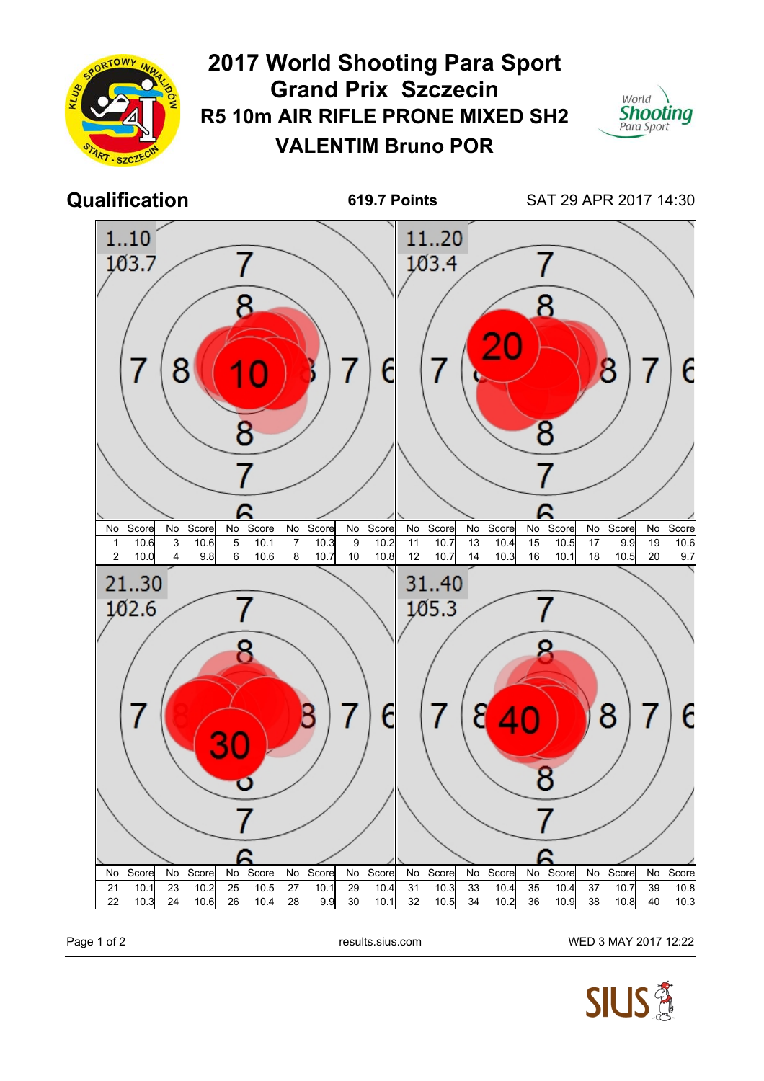

Page 1 of 2 **Page 1 of 2** results.sius.com WED 3 MAY 2017 12:22